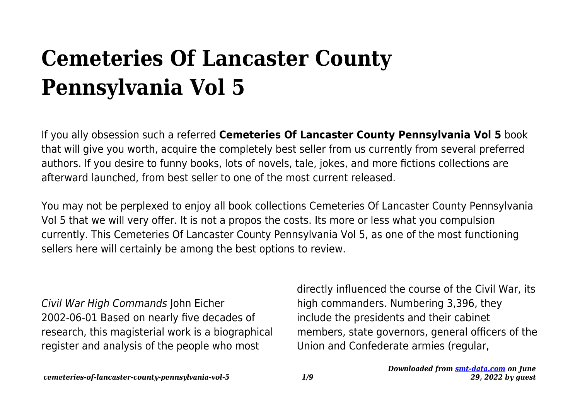# **Cemeteries Of Lancaster County Pennsylvania Vol 5**

If you ally obsession such a referred **Cemeteries Of Lancaster County Pennsylvania Vol 5** book that will give you worth, acquire the completely best seller from us currently from several preferred authors. If you desire to funny books, lots of novels, tale, jokes, and more fictions collections are afterward launched, from best seller to one of the most current released.

You may not be perplexed to enjoy all book collections Cemeteries Of Lancaster County Pennsylvania Vol 5 that we will very offer. It is not a propos the costs. Its more or less what you compulsion currently. This Cemeteries Of Lancaster County Pennsylvania Vol 5, as one of the most functioning sellers here will certainly be among the best options to review.

Civil War High Commands John Eicher 2002-06-01 Based on nearly five decades of research, this magisterial work is a biographical register and analysis of the people who most

directly influenced the course of the Civil War, its high commanders. Numbering 3,396, they include the presidents and their cabinet members, state governors, general officers of the Union and Confederate armies (regular,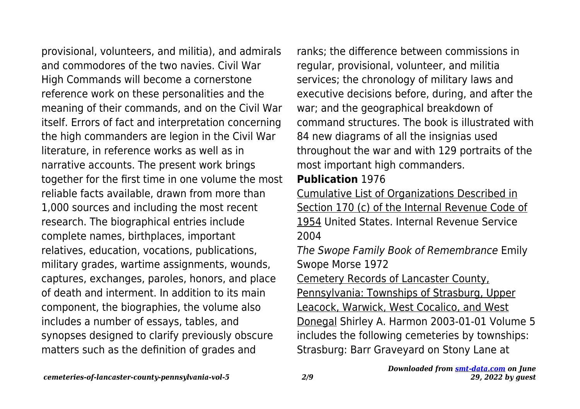provisional, volunteers, and militia), and admirals and commodores of the two navies. Civil War High Commands will become a cornerstone reference work on these personalities and the meaning of their commands, and on the Civil War itself. Errors of fact and interpretation concerning the high commanders are legion in the Civil War literature, in reference works as well as in narrative accounts. The present work brings together for the first time in one volume the most reliable facts available, drawn from more than 1,000 sources and including the most recent research. The biographical entries include complete names, birthplaces, important relatives, education, vocations, publications, military grades, wartime assignments, wounds, captures, exchanges, paroles, honors, and place of death and interment. In addition to its main component, the biographies, the volume also includes a number of essays, tables, and synopses designed to clarify previously obscure matters such as the definition of grades and

ranks; the difference between commissions in regular, provisional, volunteer, and militia services; the chronology of military laws and executive decisions before, during, and after the war; and the geographical breakdown of command structures. The book is illustrated with 84 new diagrams of all the insignias used throughout the war and with 129 portraits of the most important high commanders.

#### **Publication** 1976

Cumulative List of Organizations Described in Section 170 (c) of the Internal Revenue Code of 1954 United States. Internal Revenue Service 2004

The Swope Family Book of Remembrance Emily Swope Morse 1972 Cemetery Records of Lancaster County, Pennsylvania: Townships of Strasburg, Upper Leacock, Warwick, West Cocalico, and West Donegal Shirley A. Harmon 2003-01-01 Volume 5 includes the following cemeteries by townships:

Strasburg: Barr Graveyard on Stony Lane at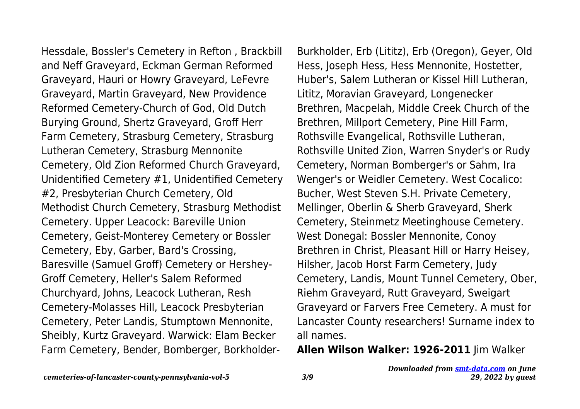Hessdale, Bossler's Cemetery in Refton , Brackbill and Neff Graveyard, Eckman German Reformed Graveyard, Hauri or Howry Graveyard, LeFevre Graveyard, Martin Graveyard, New Providence Reformed Cemetery-Church of God, Old Dutch Burying Ground, Shertz Graveyard, Groff Herr Farm Cemetery, Strasburg Cemetery, Strasburg Lutheran Cemetery, Strasburg Mennonite Cemetery, Old Zion Reformed Church Graveyard, Unidentified Cemetery #1, Unidentified Cemetery #2, Presbyterian Church Cemetery, Old Methodist Church Cemetery, Strasburg Methodist Cemetery. Upper Leacock: Bareville Union Cemetery, Geist-Monterey Cemetery or Bossler Cemetery, Eby, Garber, Bard's Crossing, Baresville (Samuel Groff) Cemetery or Hershey-Groff Cemetery, Heller's Salem Reformed Churchyard, Johns, Leacock Lutheran, Resh Cemetery-Molasses Hill, Leacock Presbyterian Cemetery, Peter Landis, Stumptown Mennonite, Sheibly, Kurtz Graveyard. Warwick: Elam Becker Farm Cemetery, Bender, Bomberger, BorkholderBurkholder, Erb (Lititz), Erb (Oregon), Geyer, Old Hess, Joseph Hess, Hess Mennonite, Hostetter, Huber's, Salem Lutheran or Kissel Hill Lutheran, Lititz, Moravian Graveyard, Longenecker Brethren, Macpelah, Middle Creek Church of the Brethren, Millport Cemetery, Pine Hill Farm, Rothsville Evangelical, Rothsville Lutheran, Rothsville United Zion, Warren Snyder's or Rudy Cemetery, Norman Bomberger's or Sahm, Ira Wenger's or Weidler Cemetery. West Cocalico: Bucher, West Steven S.H. Private Cemetery, Mellinger, Oberlin & Sherb Graveyard, Sherk Cemetery, Steinmetz Meetinghouse Cemetery. West Donegal: Bossler Mennonite, Conoy Brethren in Christ, Pleasant Hill or Harry Heisey, Hilsher, Jacob Horst Farm Cemetery, Judy Cemetery, Landis, Mount Tunnel Cemetery, Ober, Riehm Graveyard, Rutt Graveyard, Sweigart Graveyard or Farvers Free Cemetery. A must for Lancaster County researchers! Surname index to all names.

#### **Allen Wilson Walker: 1926-2011** Jim Walker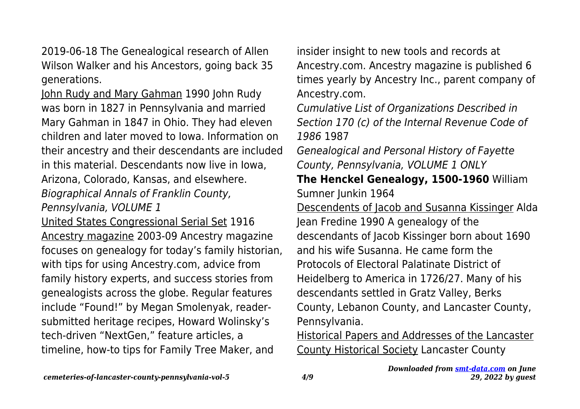2019-06-18 The Genealogical research of Allen Wilson Walker and his Ancestors, going back 35 generations.

John Rudy and Mary Gahman 1990 John Rudy was born in 1827 in Pennsylvania and married Mary Gahman in 1847 in Ohio. They had eleven children and later moved to Iowa. Information on their ancestry and their descendants are included in this material. Descendants now live in Iowa, Arizona, Colorado, Kansas, and elsewhere. Biographical Annals of Franklin County, Pennsylvania, VOLUME 1

United States Congressional Serial Set 1916 Ancestry magazine 2003-09 Ancestry magazine focuses on genealogy for today's family historian, with tips for using Ancestry.com, advice from family history experts, and success stories from genealogists across the globe. Regular features include "Found!" by Megan Smolenyak, readersubmitted heritage recipes, Howard Wolinsky's tech-driven "NextGen," feature articles, a timeline, how-to tips for Family Tree Maker, and

insider insight to new tools and records at Ancestry.com. Ancestry magazine is published 6 times yearly by Ancestry Inc., parent company of Ancestry.com.

Cumulative List of Organizations Described in Section 170 (c) of the Internal Revenue Code of 1986 1987

Genealogical and Personal History of Fayette County, Pennsylvania, VOLUME 1 ONLY

**The Henckel Genealogy, 1500-1960** William Sumner Junkin 1964

Descendents of Jacob and Susanna Kissinger Alda Jean Fredine 1990 A genealogy of the descendants of Jacob Kissinger born about 1690 and his wife Susanna. He came form the Protocols of Electoral Palatinate District of Heidelberg to America in 1726/27. Many of his descendants settled in Gratz Valley, Berks County, Lebanon County, and Lancaster County, Pennsylvania.

Historical Papers and Addresses of the Lancaster County Historical Society Lancaster County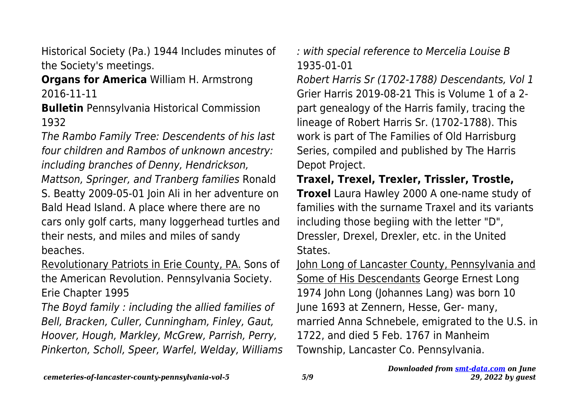Historical Society (Pa.) 1944 Includes minutes of the Society's meetings.

**Organs for America** William H. Armstrong 2016-11-11

**Bulletin** Pennsylvania Historical Commission 1932

The Rambo Family Tree: Descendents of his last four children and Rambos of unknown ancestry: including branches of Denny, Hendrickson,

Mattson, Springer, and Tranberg families Ronald S. Beatty 2009-05-01 Join Ali in her adventure on Bald Head Island. A place where there are no cars only golf carts, many loggerhead turtles and their nests, and miles and miles of sandy beaches.

Revolutionary Patriots in Erie County, PA. Sons of the American Revolution. Pennsylvania Society. Erie Chapter 1995

The Boyd family : including the allied families of Bell, Bracken, Culler, Cunningham, Finley, Gaut, Hoover, Hough, Markley, McGrew, Parrish, Perry, Pinkerton, Scholl, Speer, Warfel, Welday, Williams : with special reference to Mercelia Louise B 1935-01-01

Robert Harris Sr (1702-1788) Descendants, Vol 1 Grier Harris 2019-08-21 This is Volume 1 of a 2 part genealogy of the Harris family, tracing the lineage of Robert Harris Sr. (1702-1788). This work is part of The Families of Old Harrisburg Series, compiled and published by The Harris Depot Project.

**Traxel, Trexel, Trexler, Trissler, Trostle,**

**Troxel** Laura Hawley 2000 A one-name study of families with the surname Traxel and its variants including those begiing with the letter "D", Dressler, Drexel, Drexler, etc. in the United States.

John Long of Lancaster County, Pennsylvania and Some of His Descendants George Ernest Long 1974 John Long (Johannes Lang) was born 10 June 1693 at Zennern, Hesse, Ger- many, married Anna Schnebele, emigrated to the U.S. in 1722, and died 5 Feb. 1767 in Manheim Township, Lancaster Co. Pennsylvania.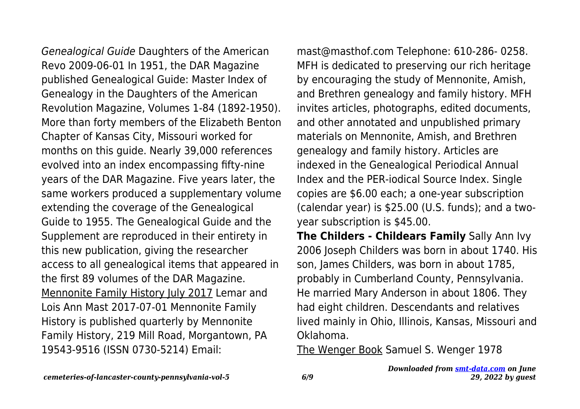Genealogical Guide Daughters of the American Revo 2009-06-01 In 1951, the DAR Magazine published Genealogical Guide: Master Index of Genealogy in the Daughters of the American Revolution Magazine, Volumes 1-84 (1892-1950). More than forty members of the Elizabeth Benton Chapter of Kansas City, Missouri worked for months on this guide. Nearly 39,000 references evolved into an index encompassing fifty-nine years of the DAR Magazine. Five years later, the same workers produced a supplementary volume extending the coverage of the Genealogical Guide to 1955. The Genealogical Guide and the Supplement are reproduced in their entirety in this new publication, giving the researcher access to all genealogical items that appeared in the first 89 volumes of the DAR Magazine. Mennonite Family History July 2017 Lemar and Lois Ann Mast 2017-07-01 Mennonite Family History is published quarterly by Mennonite Family History, 219 Mill Road, Morgantown, PA 19543-9516 (ISSN 0730-5214) Email:

mast@masthof.com Telephone: 610-286- 0258. MFH is dedicated to preserving our rich heritage by encouraging the study of Mennonite, Amish, and Brethren genealogy and family history. MFH invites articles, photographs, edited documents, and other annotated and unpublished primary materials on Mennonite, Amish, and Brethren genealogy and family history. Articles are indexed in the Genealogical Periodical Annual Index and the PER-iodical Source Index. Single copies are \$6.00 each; a one-year subscription (calendar year) is \$25.00 (U.S. funds); and a twoyear subscription is \$45.00.

**The Childers - Childears Family** Sally Ann Ivy 2006 Joseph Childers was born in about 1740. His son, James Childers, was born in about 1785, probably in Cumberland County, Pennsylvania. He married Mary Anderson in about 1806. They had eight children. Descendants and relatives lived mainly in Ohio, Illinois, Kansas, Missouri and Oklahoma.

The Wenger Book Samuel S. Wenger 1978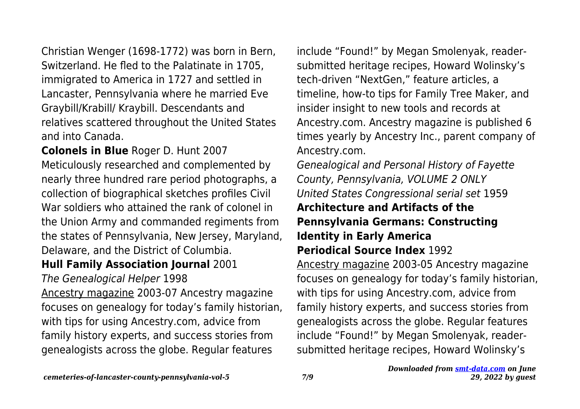Christian Wenger (1698-1772) was born in Bern, Switzerland. He fled to the Palatinate in 1705, immigrated to America in 1727 and settled in Lancaster, Pennsylvania where he married Eve Graybill/Krabill/ Kraybill. Descendants and relatives scattered throughout the United States and into Canada.

**Colonels in Blue** Roger D. Hunt 2007 Meticulously researched and complemented by nearly three hundred rare period photographs, a collection of biographical sketches profiles Civil War soldiers who attained the rank of colonel in the Union Army and commanded regiments from the states of Pennsylvania, New Jersey, Maryland, Delaware, and the District of Columbia.

### **Hull Family Association Journal** 2001

The Genealogical Helper 1998

Ancestry magazine 2003-07 Ancestry magazine focuses on genealogy for today's family historian, with tips for using Ancestry.com, advice from family history experts, and success stories from genealogists across the globe. Regular features

include "Found!" by Megan Smolenyak, readersubmitted heritage recipes, Howard Wolinsky's tech-driven "NextGen," feature articles, a timeline, how-to tips for Family Tree Maker, and insider insight to new tools and records at Ancestry.com. Ancestry magazine is published 6 times yearly by Ancestry Inc., parent company of Ancestry.com.

Genealogical and Personal History of Fayette County, Pennsylvania, VOLUME 2 ONLY United States Congressional serial set 1959 **Architecture and Artifacts of the Pennsylvania Germans: Constructing Identity in Early America**

## **Periodical Source Index** 1992

Ancestry magazine 2003-05 Ancestry magazine focuses on genealogy for today's family historian, with tips for using Ancestry.com, advice from family history experts, and success stories from genealogists across the globe. Regular features include "Found!" by Megan Smolenyak, readersubmitted heritage recipes, Howard Wolinsky's